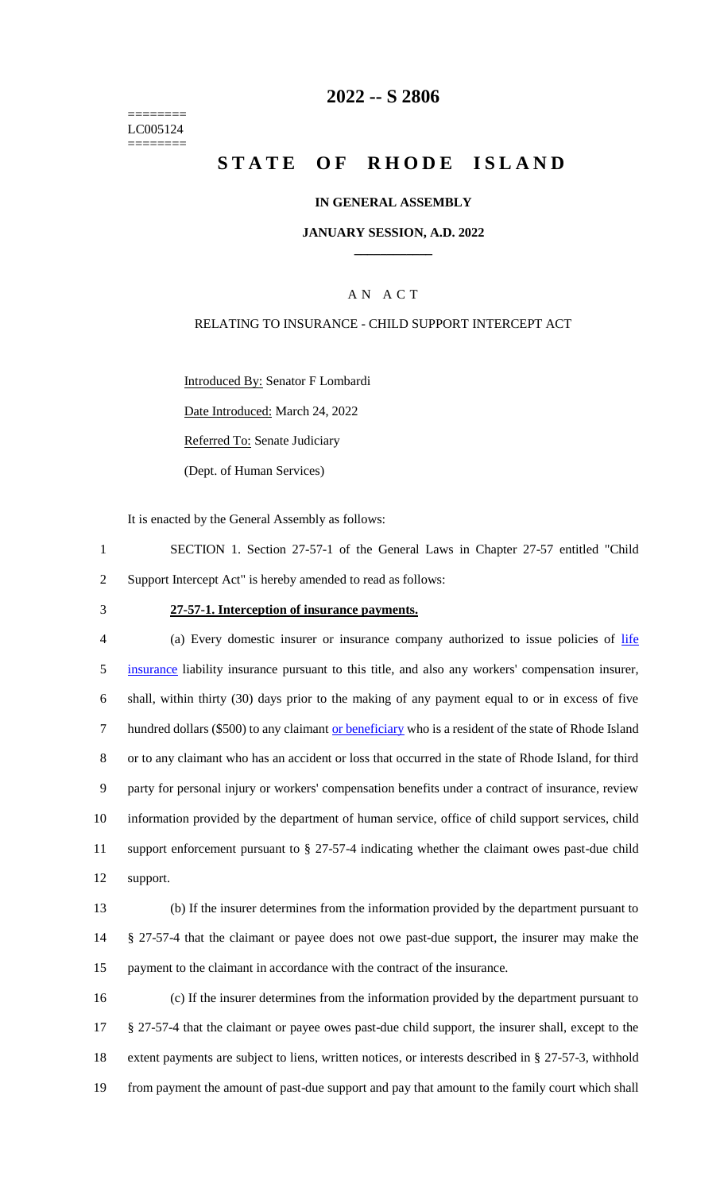======== LC005124 ========

### **2022 -- S 2806**

# **STATE OF RHODE ISLAND**

#### **IN GENERAL ASSEMBLY**

#### **JANUARY SESSION, A.D. 2022 \_\_\_\_\_\_\_\_\_\_\_\_**

#### A N A C T

#### RELATING TO INSURANCE - CHILD SUPPORT INTERCEPT ACT

Introduced By: Senator F Lombardi

Date Introduced: March 24, 2022

Referred To: Senate Judiciary

(Dept. of Human Services)

It is enacted by the General Assembly as follows:

1 SECTION 1. Section 27-57-1 of the General Laws in Chapter 27-57 entitled "Child 2 Support Intercept Act" is hereby amended to read as follows:

#### 3 **27-57-1. Interception of insurance payments.**

4 (a) Every domestic insurer or insurance company authorized to issue policies of life insurance liability insurance pursuant to this title, and also any workers' compensation insurer, shall, within thirty (30) days prior to the making of any payment equal to or in excess of five hundred dollars (\$500) to any claimant or beneficiary who is a resident of the state of Rhode Island or to any claimant who has an accident or loss that occurred in the state of Rhode Island, for third party for personal injury or workers' compensation benefits under a contract of insurance, review information provided by the department of human service, office of child support services, child support enforcement pursuant to § 27-57-4 indicating whether the claimant owes past-due child 12 support.

13 (b) If the insurer determines from the information provided by the department pursuant to 14 § 27-57-4 that the claimant or payee does not owe past-due support, the insurer may make the 15 payment to the claimant in accordance with the contract of the insurance.

 (c) If the insurer determines from the information provided by the department pursuant to § 27-57-4 that the claimant or payee owes past-due child support, the insurer shall, except to the extent payments are subject to liens, written notices, or interests described in § 27-57-3, withhold from payment the amount of past-due support and pay that amount to the family court which shall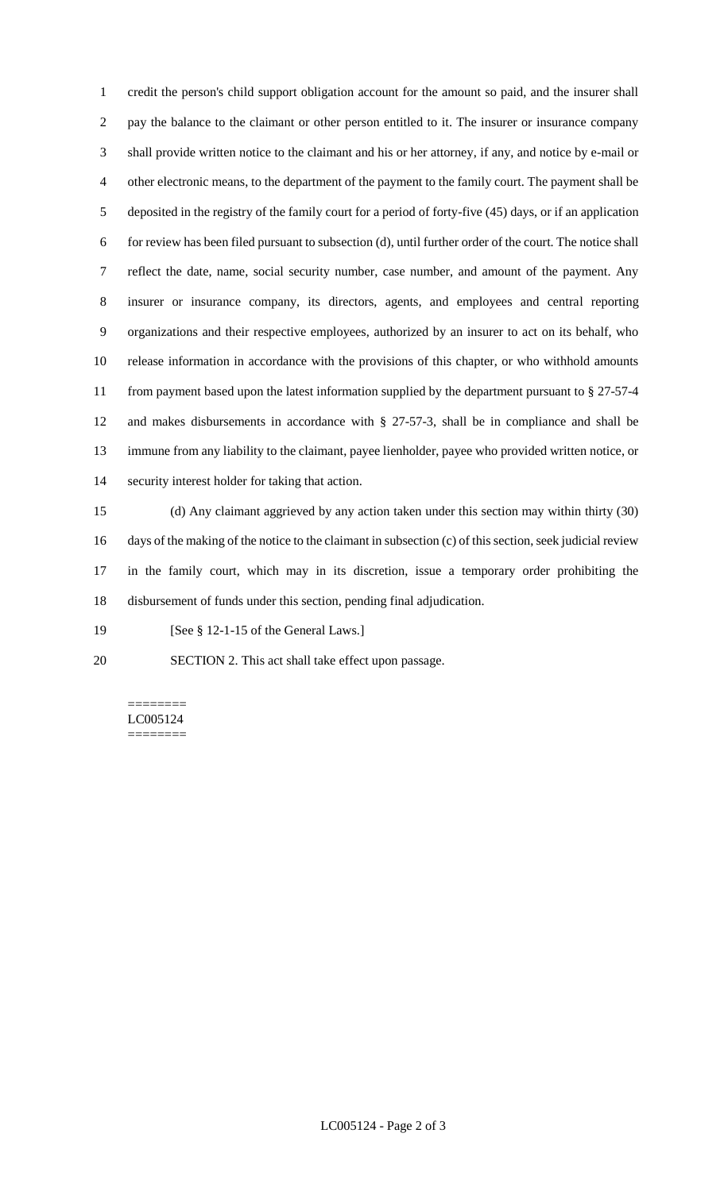credit the person's child support obligation account for the amount so paid, and the insurer shall pay the balance to the claimant or other person entitled to it. The insurer or insurance company shall provide written notice to the claimant and his or her attorney, if any, and notice by e-mail or other electronic means, to the department of the payment to the family court. The payment shall be deposited in the registry of the family court for a period of forty-five (45) days, or if an application for review has been filed pursuant to subsection (d), until further order of the court. The notice shall reflect the date, name, social security number, case number, and amount of the payment. Any insurer or insurance company, its directors, agents, and employees and central reporting organizations and their respective employees, authorized by an insurer to act on its behalf, who release information in accordance with the provisions of this chapter, or who withhold amounts from payment based upon the latest information supplied by the department pursuant to § 27-57-4 and makes disbursements in accordance with § 27-57-3, shall be in compliance and shall be immune from any liability to the claimant, payee lienholder, payee who provided written notice, or security interest holder for taking that action.

 (d) Any claimant aggrieved by any action taken under this section may within thirty (30) days of the making of the notice to the claimant in subsection (c) of this section, seek judicial review in the family court, which may in its discretion, issue a temporary order prohibiting the disbursement of funds under this section, pending final adjudication.

19 [See § 12-1-15 of the General Laws.]

SECTION 2. This act shall take effect upon passage.

======== LC005124 ========